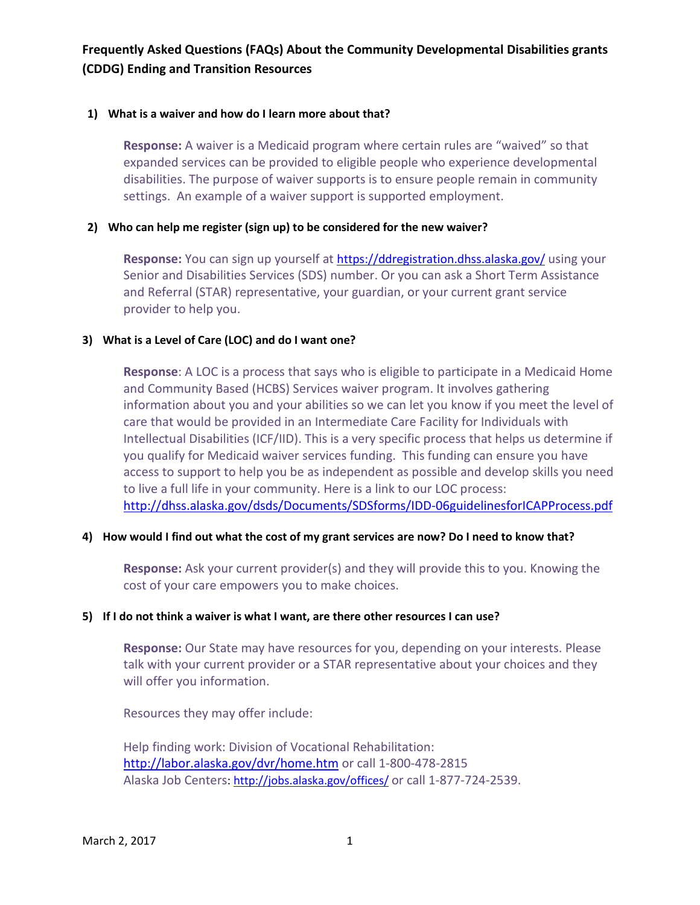### **1) What is a waiver and how do I learn more about that?**

**Response:** A waiver is a Medicaid program where certain rules are "waived" so that expanded services can be provided to eligible people who experience developmental disabilities. The purpose of waiver supports is to ensure people remain in community settings. An example of a waiver support is supported employment.

### **2) Who can help me register (sign up) to be considered for the new waiver?**

**Response:** You can sign up yourself at<https://ddregistration.dhss.alaska.gov/> using your Senior and Disabilities Services (SDS) number. Or you can ask a Short Term Assistance and Referral (STAR) representative, your guardian, or your current grant service provider to help you.

### **3) What is a Level of Care (LOC) and do I want one?**

**Response**: A LOC is a process that says who is eligible to participate in a Medicaid Home and Community Based (HCBS) Services waiver program. It involves gathering information about you and your abilities so we can let you know if you meet the level of care that would be provided in an Intermediate Care Facility for Individuals with Intellectual Disabilities (ICF/IID). This is a very specific process that helps us determine if you qualify for Medicaid waiver services funding. This funding can ensure you have access to support to help you be as independent as possible and develop skills you need to live a full life in your community. Here is a link to our LOC process: <http://dhss.alaska.gov/dsds/Documents/SDSforms/IDD-06guidelinesforICAPProcess.pdf>

#### **4) How would I find out what the cost of my grant services are now? Do I need to know that?**

**Response:** Ask your current provider(s) and they will provide this to you. Knowing the cost of your care empowers you to make choices.

### **5) If I do not think a waiver is what I want, are there other resources I can use?**

**Response:** Our State may have resources for you, depending on your interests. Please talk with your current provider or a STAR representative about your choices and they will offer you information.

Resources they may offer include:

Help finding work: Division of Vocational Rehabilitation: <http://labor.alaska.gov/dvr/home.htm> or call 1-800-478-2815 Alaska Job Centers:<http://jobs.alaska.gov/offices/> or call 1-877-724-2539.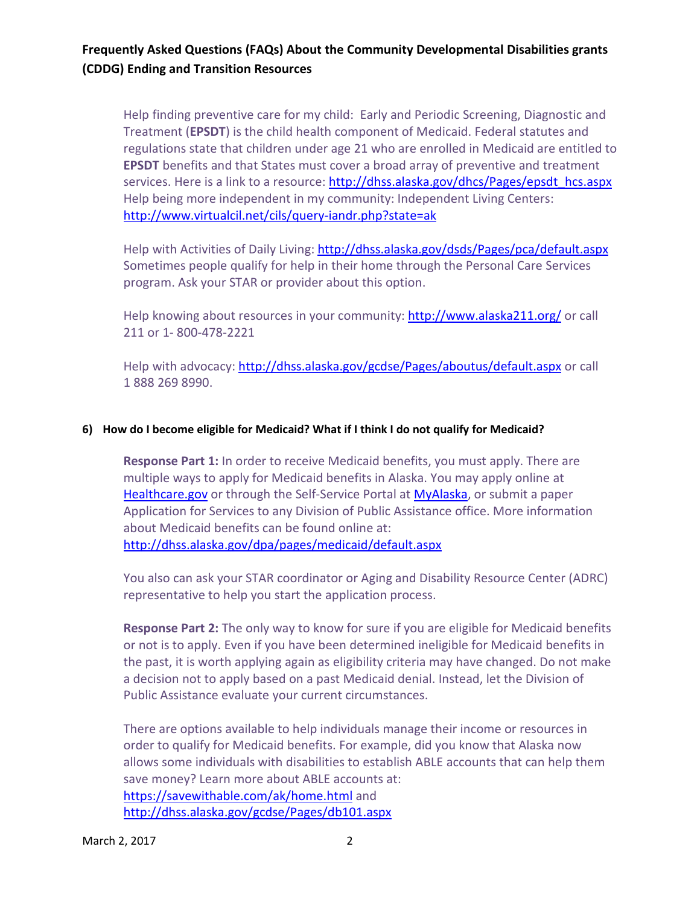Help finding preventive care for my child: Early and Periodic Screening, Diagnostic and Treatment (**EPSDT**) is the child health component of Medicaid. Federal statutes and regulations state that children under age 21 who are enrolled in Medicaid are entitled to **EPSDT** benefits and that States must cover a broad array of preventive and treatment services. Here is a link to a resource: [http://dhss.alaska.gov/dhcs/Pages/epsdt\\_hcs.aspx](http://dhss.alaska.gov/dhcs/Pages/epsdt_hcs.aspx) Help being more independent in my community: Independent Living Centers: <http://www.virtualcil.net/cils/query-iandr.php?state=ak>

Help with Activities of Daily Living: <http://dhss.alaska.gov/dsds/Pages/pca/default.aspx> Sometimes people qualify for help in their home through the Personal Care Services program. Ask your STAR or provider about this option.

Help knowing about resources in your community: <http://www.alaska211.org/> or call 211 or 1- 800-478-2221

Help with advocacy[: http://dhss.alaska.gov/gcdse/Pages/aboutus/default.aspx](http://dhss.alaska.gov/gcdse/Pages/aboutus/default.aspx) or call 1 888 269 8990.

#### **6) How do I become eligible for Medicaid? What if I think I do not qualify for Medicaid?**

**Response Part 1:** In order to receive Medicaid benefits, you must apply. There are multiple ways to apply for Medicaid benefits in Alaska. You may apply online at [Healthcare.gov](https://www.healthcare.gov/) or through the Self-Service Portal at [MyAlaska,](https://aries.alaska.gov/screener/?logIn=N) or submit a paper Application for Services to any Division of Public Assistance office. More information about Medicaid benefits can be found online at: <http://dhss.alaska.gov/dpa/pages/medicaid/default.aspx>

You also can ask your STAR coordinator or Aging and Disability Resource Center (ADRC) representative to help you start the application process.

**Response Part 2:** The only way to know for sure if you are eligible for Medicaid benefits or not is to apply. Even if you have been determined ineligible for Medicaid benefits in the past, it is worth applying again as eligibility criteria may have changed. Do not make a decision not to apply based on a past Medicaid denial. Instead, let the Division of Public Assistance evaluate your current circumstances.

There are options available to help individuals manage their income or resources in order to qualify for Medicaid benefits. For example, did you know that Alaska now allows some individuals with disabilities to establish ABLE accounts that can help them save money? Learn more about ABLE accounts at: <https://savewithable.com/ak/home.html> and <http://dhss.alaska.gov/gcdse/Pages/db101.aspx>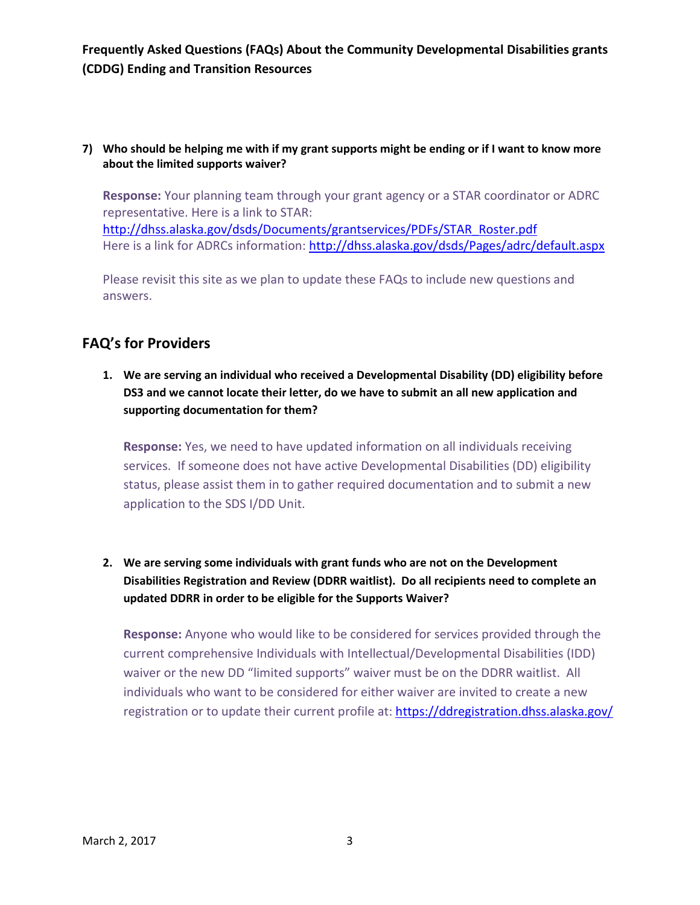### **7) Who should be helping me with if my grant supports might be ending or if I want to know more about the limited supports waiver?**

**Response:** Your planning team through your grant agency or a STAR coordinator or ADRC representative. Here is a link to STAR: [http://dhss.alaska.gov/dsds/Documents/grantservices/PDFs/STAR\\_Roster.pdf](http://dhss.alaska.gov/dsds/Documents/grantservices/PDFs/STAR_Roster.pdf) Here is a link for ADRCs information:<http://dhss.alaska.gov/dsds/Pages/adrc/default.aspx>

Please revisit this site as we plan to update these FAQs to include new questions and answers.

# **FAQ's for Providers**

**1. We are serving an individual who received a Developmental Disability (DD) eligibility before DS3 and we cannot locate their letter, do we have to submit an all new application and supporting documentation for them?**

**Response:** Yes, we need to have updated information on all individuals receiving services. If someone does not have active Developmental Disabilities (DD) eligibility status, please assist them in to gather required documentation and to submit a new application to the SDS I/DD Unit.

**2. We are serving some individuals with grant funds who are not on the Development Disabilities Registration and Review (DDRR waitlist). Do all recipients need to complete an updated DDRR in order to be eligible for the Supports Waiver?** 

**Response:** Anyone who would like to be considered for services provided through the current comprehensive Individuals with Intellectual/Developmental Disabilities (IDD) waiver or the new DD "limited supports" waiver must be on the DDRR waitlist. All individuals who want to be considered for either waiver are invited to create a new registration or to update their current profile at:<https://ddregistration.dhss.alaska.gov/>